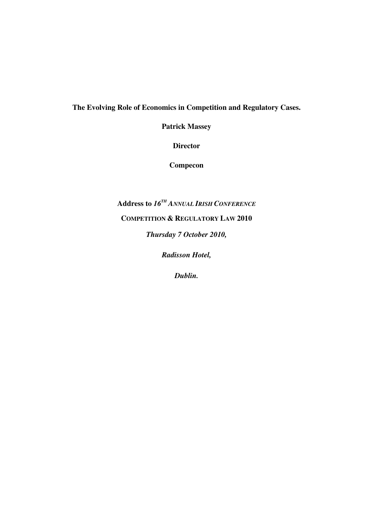# **The Evolving Role of Economics in Competition and Regulatory Cases.**

**Patrick Massey** 

**Director** 

**Compecon** 

**Address to** *16TH ANNUAL IRISH CONFERENCE* **COMPETITION & REGULATORY LAW 2010**  *Thursday 7 October 2010,* 

*Radisson Hotel,* 

*Dublin.*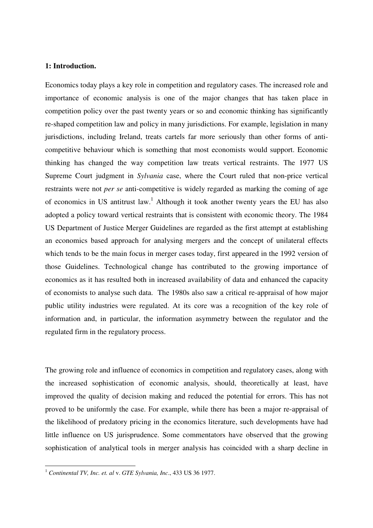# **1: Introduction.**

Economics today plays a key role in competition and regulatory cases. The increased role and importance of economic analysis is one of the major changes that has taken place in competition policy over the past twenty years or so and economic thinking has significantly re-shaped competition law and policy in many jurisdictions. For example, legislation in many jurisdictions, including Ireland, treats cartels far more seriously than other forms of anticompetitive behaviour which is something that most economists would support. Economic thinking has changed the way competition law treats vertical restraints. The 1977 US Supreme Court judgment in *Sylvania* case, where the Court ruled that non-price vertical restraints were not *per se* anti-competitive is widely regarded as marking the coming of age of economics in US antitrust law.<sup>1</sup> Although it took another twenty years the EU has also adopted a policy toward vertical restraints that is consistent with economic theory. The 1984 US Department of Justice Merger Guidelines are regarded as the first attempt at establishing an economics based approach for analysing mergers and the concept of unilateral effects which tends to be the main focus in merger cases today, first appeared in the 1992 version of those Guidelines. Technological change has contributed to the growing importance of economics as it has resulted both in increased availability of data and enhanced the capacity of economists to analyse such data. The 1980s also saw a critical re-appraisal of how major public utility industries were regulated. At its core was a recognition of the key role of information and, in particular, the information asymmetry between the regulator and the regulated firm in the regulatory process.

The growing role and influence of economics in competition and regulatory cases, along with the increased sophistication of economic analysis, should, theoretically at least, have improved the quality of decision making and reduced the potential for errors. This has not proved to be uniformly the case. For example, while there has been a major re-appraisal of the likelihood of predatory pricing in the economics literature, such developments have had little influence on US jurisprudence. Some commentators have observed that the growing sophistication of analytical tools in merger analysis has coincided with a sharp decline in

<sup>1</sup> *Continental TV, Inc. et. al* v. *GTE Sylvania, Inc*., 433 US 36 1977.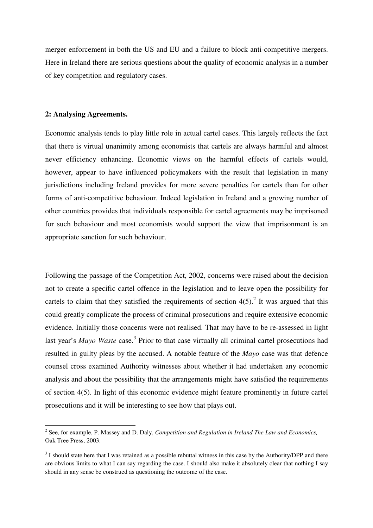merger enforcement in both the US and EU and a failure to block anti-competitive mergers. Here in Ireland there are serious questions about the quality of economic analysis in a number of key competition and regulatory cases.

## **2: Analysing Agreements.**

l

Economic analysis tends to play little role in actual cartel cases. This largely reflects the fact that there is virtual unanimity among economists that cartels are always harmful and almost never efficiency enhancing. Economic views on the harmful effects of cartels would, however, appear to have influenced policymakers with the result that legislation in many jurisdictions including Ireland provides for more severe penalties for cartels than for other forms of anti-competitive behaviour. Indeed legislation in Ireland and a growing number of other countries provides that individuals responsible for cartel agreements may be imprisoned for such behaviour and most economists would support the view that imprisonment is an appropriate sanction for such behaviour.

Following the passage of the Competition Act, 2002, concerns were raised about the decision not to create a specific cartel offence in the legislation and to leave open the possibility for cartels to claim that they satisfied the requirements of section  $4(5)$ .<sup>2</sup> It was argued that this could greatly complicate the process of criminal prosecutions and require extensive economic evidence. Initially those concerns were not realised. That may have to be re-assessed in light last year's *Mayo Waste* case.<sup>3</sup> Prior to that case virtually all criminal cartel prosecutions had resulted in guilty pleas by the accused. A notable feature of the *Mayo* case was that defence counsel cross examined Authority witnesses about whether it had undertaken any economic analysis and about the possibility that the arrangements might have satisfied the requirements of section 4(5). In light of this economic evidence might feature prominently in future cartel prosecutions and it will be interesting to see how that plays out.

<sup>2</sup> See, for example, P. Massey and D. Daly, *Competition and Regulation in Ireland The Law and Economics,*  Oak Tree Press, 2003.

 $3$  I should state here that I was retained as a possible rebuttal witness in this case by the Authority/DPP and there are obvious limits to what I can say regarding the case. I should also make it absolutely clear that nothing I say should in any sense be construed as questioning the outcome of the case.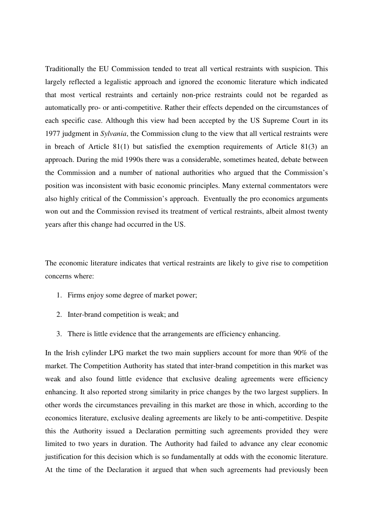Traditionally the EU Commission tended to treat all vertical restraints with suspicion. This largely reflected a legalistic approach and ignored the economic literature which indicated that most vertical restraints and certainly non-price restraints could not be regarded as automatically pro- or anti-competitive. Rather their effects depended on the circumstances of each specific case. Although this view had been accepted by the US Supreme Court in its 1977 judgment in *Sylvania*, the Commission clung to the view that all vertical restraints were in breach of Article 81(1) but satisfied the exemption requirements of Article 81(3) an approach. During the mid 1990s there was a considerable, sometimes heated, debate between the Commission and a number of national authorities who argued that the Commission's position was inconsistent with basic economic principles. Many external commentators were also highly critical of the Commission's approach. Eventually the pro economics arguments won out and the Commission revised its treatment of vertical restraints, albeit almost twenty years after this change had occurred in the US.

The economic literature indicates that vertical restraints are likely to give rise to competition concerns where:

- 1. Firms enjoy some degree of market power;
- 2. Inter-brand competition is weak; and
- 3. There is little evidence that the arrangements are efficiency enhancing.

In the Irish cylinder LPG market the two main suppliers account for more than 90% of the market. The Competition Authority has stated that inter-brand competition in this market was weak and also found little evidence that exclusive dealing agreements were efficiency enhancing. It also reported strong similarity in price changes by the two largest suppliers. In other words the circumstances prevailing in this market are those in which, according to the economics literature, exclusive dealing agreements are likely to be anti-competitive. Despite this the Authority issued a Declaration permitting such agreements provided they were limited to two years in duration. The Authority had failed to advance any clear economic justification for this decision which is so fundamentally at odds with the economic literature. At the time of the Declaration it argued that when such agreements had previously been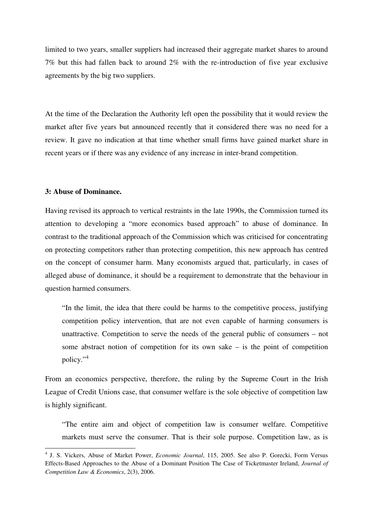limited to two years, smaller suppliers had increased their aggregate market shares to around 7% but this had fallen back to around 2% with the re-introduction of five year exclusive agreements by the big two suppliers.

At the time of the Declaration the Authority left open the possibility that it would review the market after five years but announced recently that it considered there was no need for a review. It gave no indication at that time whether small firms have gained market share in recent years or if there was any evidence of any increase in inter-brand competition.

## **3: Abuse of Dominance.**

l

Having revised its approach to vertical restraints in the late 1990s, the Commission turned its attention to developing a "more economics based approach" to abuse of dominance. In contrast to the traditional approach of the Commission which was criticised for concentrating on protecting competitors rather than protecting competition, this new approach has centred on the concept of consumer harm. Many economists argued that, particularly, in cases of alleged abuse of dominance, it should be a requirement to demonstrate that the behaviour in question harmed consumers.

"In the limit, the idea that there could be harms to the competitive process, justifying competition policy intervention, that are not even capable of harming consumers is unattractive. Competition to serve the needs of the general public of consumers – not some abstract notion of competition for its own sake  $-$  is the point of competition policy."<sup>4</sup>

From an economics perspective, therefore, the ruling by the Supreme Court in the Irish League of Credit Unions case, that consumer welfare is the sole objective of competition law is highly significant.

"The entire aim and object of competition law is consumer welfare. Competitive markets must serve the consumer. That is their sole purpose. Competition law, as is

<sup>4</sup> J. S. Vickers, Abuse of Market Power, *Economic Journal*, 115, 2005. See also P. Gorecki, Form Versus Effects-Based Approaches to the Abuse of a Dominant Position The Case of Ticketmaster Ireland, *Journal of Competition Law & Economics*, 2(3), 2006.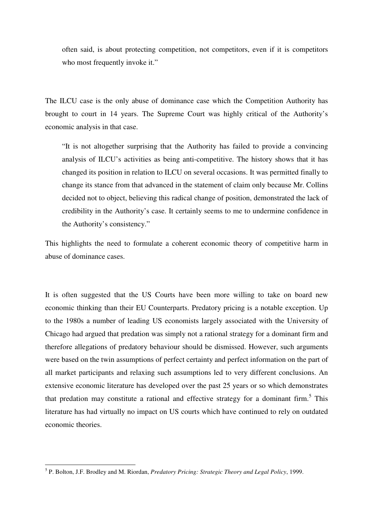often said, is about protecting competition, not competitors, even if it is competitors who most frequently invoke it."

The ILCU case is the only abuse of dominance case which the Competition Authority has brought to court in 14 years. The Supreme Court was highly critical of the Authority's economic analysis in that case.

"It is not altogether surprising that the Authority has failed to provide a convincing analysis of ILCU's activities as being anti-competitive. The history shows that it has changed its position in relation to ILCU on several occasions. It was permitted finally to change its stance from that advanced in the statement of claim only because Mr. Collins decided not to object, believing this radical change of position, demonstrated the lack of credibility in the Authority's case. It certainly seems to me to undermine confidence in the Authority's consistency."

This highlights the need to formulate a coherent economic theory of competitive harm in abuse of dominance cases.

It is often suggested that the US Courts have been more willing to take on board new economic thinking than their EU Counterparts. Predatory pricing is a notable exception. Up to the 1980s a number of leading US economists largely associated with the University of Chicago had argued that predation was simply not a rational strategy for a dominant firm and therefore allegations of predatory behaviour should be dismissed. However, such arguments were based on the twin assumptions of perfect certainty and perfect information on the part of all market participants and relaxing such assumptions led to very different conclusions. An extensive economic literature has developed over the past 25 years or so which demonstrates that predation may constitute a rational and effective strategy for a dominant firm.<sup>5</sup> This literature has had virtually no impact on US courts which have continued to rely on outdated economic theories.

<sup>5</sup> P. Bolton, J.F. Brodley and M. Riordan, *Predatory Pricing: Strategic Theory and Legal Policy*, 1999.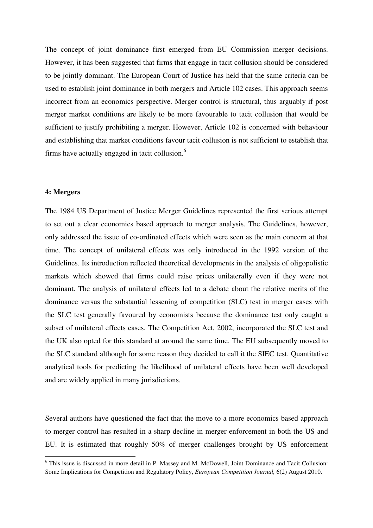The concept of joint dominance first emerged from EU Commission merger decisions. However, it has been suggested that firms that engage in tacit collusion should be considered to be jointly dominant. The European Court of Justice has held that the same criteria can be used to establish joint dominance in both mergers and Article 102 cases. This approach seems incorrect from an economics perspective. Merger control is structural, thus arguably if post merger market conditions are likely to be more favourable to tacit collusion that would be sufficient to justify prohibiting a merger. However, Article 102 is concerned with behaviour and establishing that market conditions favour tacit collusion is not sufficient to establish that firms have actually engaged in tacit collusion.<sup>6</sup>

# **4: Mergers**

 $\overline{a}$ 

The 1984 US Department of Justice Merger Guidelines represented the first serious attempt to set out a clear economics based approach to merger analysis. The Guidelines, however, only addressed the issue of co-ordinated effects which were seen as the main concern at that time. The concept of unilateral effects was only introduced in the 1992 version of the Guidelines. Its introduction reflected theoretical developments in the analysis of oligopolistic markets which showed that firms could raise prices unilaterally even if they were not dominant. The analysis of unilateral effects led to a debate about the relative merits of the dominance versus the substantial lessening of competition (SLC) test in merger cases with the SLC test generally favoured by economists because the dominance test only caught a subset of unilateral effects cases. The Competition Act, 2002, incorporated the SLC test and the UK also opted for this standard at around the same time. The EU subsequently moved to the SLC standard although for some reason they decided to call it the SIEC test. Quantitative analytical tools for predicting the likelihood of unilateral effects have been well developed and are widely applied in many jurisdictions.

Several authors have questioned the fact that the move to a more economics based approach to merger control has resulted in a sharp decline in merger enforcement in both the US and EU. It is estimated that roughly 50% of merger challenges brought by US enforcement

<sup>&</sup>lt;sup>6</sup> This issue is discussed in more detail in P. Massey and M. McDowell, Joint Dominance and Tacit Collusion: Some Implications for Competition and Regulatory Policy, *European Competition Journal,* 6(2) August 2010.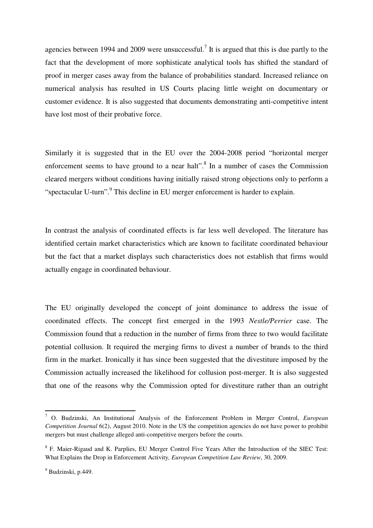agencies between 1994 and 2009 were unsuccessful.<sup>7</sup> It is argued that this is due partly to the fact that the development of more sophisticate analytical tools has shifted the standard of proof in merger cases away from the balance of probabilities standard. Increased reliance on numerical analysis has resulted in US Courts placing little weight on documentary or customer evidence. It is also suggested that documents demonstrating anti-competitive intent have lost most of their probative force.

Similarly it is suggested that in the EU over the 2004-2008 period "horizontal merger enforcement seems to have ground to a near halt". $8$  In a number of cases the Commission cleared mergers without conditions having initially raised strong objections only to perform a "spectacular U-turn".<sup>9</sup> This decline in EU merger enforcement is harder to explain.

In contrast the analysis of coordinated effects is far less well developed. The literature has identified certain market characteristics which are known to facilitate coordinated behaviour but the fact that a market displays such characteristics does not establish that firms would actually engage in coordinated behaviour.

The EU originally developed the concept of joint dominance to address the issue of coordinated effects. The concept first emerged in the 1993 *Nestle/Perrier* case. The Commission found that a reduction in the number of firms from three to two would facilitate potential collusion. It required the merging firms to divest a number of brands to the third firm in the market. Ironically it has since been suggested that the divestiture imposed by the Commission actually increased the likelihood for collusion post-merger. It is also suggested that one of the reasons why the Commission opted for divestiture rather than an outright

l

<sup>7</sup> O. Budzinski, An Institutional Analysis of the Enforcement Problem in Merger Control, *European Competition Journal* 6(2), August 2010. Note in the US the competition agencies do not have power to prohibit mergers but must challenge alleged anti-competitive mergers before the courts.

<sup>&</sup>lt;sup>8</sup> F. Maier-Rigaud and K. Parplies, EU Merger Control Five Years After the Introduction of the SIEC Test: What Explains the Drop in Enforcement Activity*, European Competition Law Review*, 30, 2009.

<sup>&</sup>lt;sup>9</sup> Budzinski, p.449.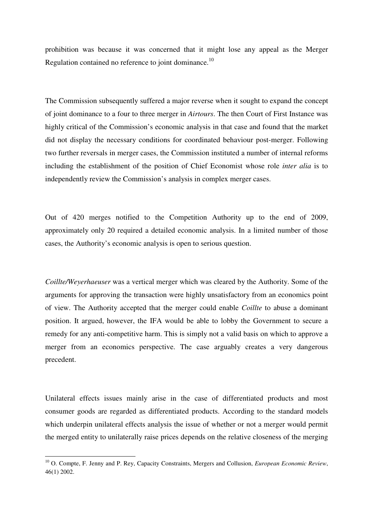prohibition was because it was concerned that it might lose any appeal as the Merger Regulation contained no reference to joint dominance.<sup>10</sup>

The Commission subsequently suffered a major reverse when it sought to expand the concept of joint dominance to a four to three merger in *Airtours*. The then Court of First Instance was highly critical of the Commission's economic analysis in that case and found that the market did not display the necessary conditions for coordinated behaviour post-merger. Following two further reversals in merger cases, the Commission instituted a number of internal reforms including the establishment of the position of Chief Economist whose role *inter alia* is to independently review the Commission's analysis in complex merger cases.

Out of 420 merges notified to the Competition Authority up to the end of 2009, approximately only 20 required a detailed economic analysis. In a limited number of those cases, the Authority's economic analysis is open to serious question.

*Coillte/Weyerhaeuser* was a vertical merger which was cleared by the Authority. Some of the arguments for approving the transaction were highly unsatisfactory from an economics point of view. The Authority accepted that the merger could enable *Coillte* to abuse a dominant position. It argued, however, the IFA would be able to lobby the Government to secure a remedy for any anti-competitive harm. This is simply not a valid basis on which to approve a merger from an economics perspective. The case arguably creates a very dangerous precedent.

Unilateral effects issues mainly arise in the case of differentiated products and most consumer goods are regarded as differentiated products. According to the standard models which underpin unilateral effects analysis the issue of whether or not a merger would permit the merged entity to unilaterally raise prices depends on the relative closeness of the merging

<sup>10</sup> O. Compte, F. Jenny and P. Rey, Capacity Constraints, Mergers and Collusion, *European Economic Review*, 46(1) 2002.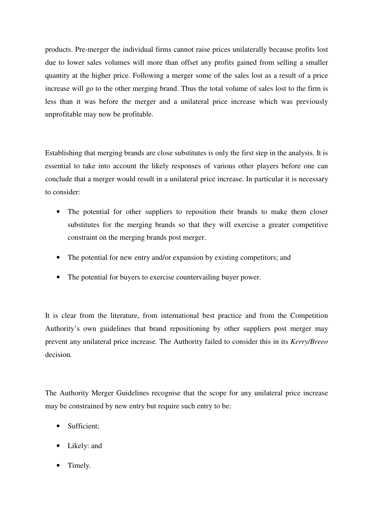products. Pre-merger the individual firms cannot raise prices unilaterally because profits lost due to lower sales volumes will more than offset any profits gained from selling a smaller quantity at the higher price. Following a merger some of the sales lost as a result of a price increase will go to the other merging brand. Thus the total volume of sales lost to the firm is less than it was before the merger and a unilateral price increase which was previously unprofitable may now be profitable.

Establishing that merging brands are close substitutes is only the first step in the analysis. It is essential to take into account the likely responses of various other players before one can conclude that a merger would result in a unilateral price increase. In particular it is necessary to consider:

- The potential for other suppliers to reposition their brands to make them closer substitutes for the merging brands so that they will exercise a greater competitive constraint on the merging brands post merger.
- The potential for new entry and/or expansion by existing competitors; and
- The potential for buyers to exercise countervailing buyer power.

It is clear from the literature, from international best practice and from the Competition Authority's own guidelines that brand repositioning by other suppliers post merger may prevent any unilateral price increase. The Authority failed to consider this in its *Kerry/Breeo*  decision*.* 

The Authority Merger Guidelines recognise that the scope for any unilateral price increase may be constrained by new entry but require such entry to be:

- Sufficient;
- Likely: and
- Timely.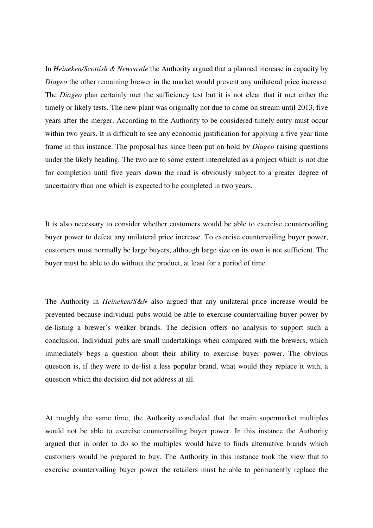In *Heineken/Scottish & Newcastle* the Authority argued that a planned increase in capacity by *Diageo* the other remaining brewer in the market would prevent any unilateral price increase. The *Diageo* plan certainly met the sufficiency test but it is not clear that it met either the timely or likely tests. The new plant was originally not due to come on stream until 2013, five years after the merger. According to the Authority to be considered timely entry must occur within two years. It is difficult to see any economic justification for applying a five year time frame in this instance. The proposal has since been put on hold by *Diageo* raising questions under the likely heading. The two are to some extent interrelated as a project which is not due for completion until five years down the road is obviously subject to a greater degree of uncertainty than one which is expected to be completed in two years.

It is also necessary to consider whether customers would be able to exercise countervailing buyer power to defeat any unilateral price increase. To exercise countervailing buyer power, customers must normally be large buyers, although large size on its own is not sufficient. The buyer must be able to do without the product, at least for a period of time.

The Authority in *Heineken/S&N* also argued that any unilateral price increase would be prevented because individual pubs would be able to exercise countervailing buyer power by de-listing a brewer's weaker brands. The decision offers no analysis to support such a conclusion. Individual pubs are small undertakings when compared with the brewers, which immediately begs a question about their ability to exercise buyer power. The obvious question is, if they were to de-list a less popular brand, what would they replace it with, a question which the decision did not address at all.

At roughly the same time, the Authority concluded that the main supermarket multiples would not be able to exercise countervailing buyer power. In this instance the Authority argued that in order to do so the multiples would have to finds alternative brands which customers would be prepared to buy. The Authority in this instance took the view that to exercise countervailing buyer power the retailers must be able to permanently replace the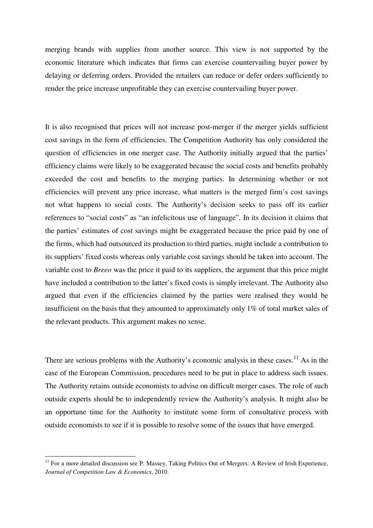merging brands with supplies from another source. This view is not supported by the economic literature which indicates that firms can exercise countervailing buyer power by delaying or deferring orders. Provided the retailers can reduce or defer orders sufficiently to render the price increase unprofitable they can exercise countervailing buyer power.

It is also recognised that prices will not increase post-merger if the merger yields sufficient cost savings in the form of efficiencies. The Competition Authority has only considered the question of efficiencies in one merger case. The Authority initially argued that the parties' efficiency claims were likely to be exaggerated because the social costs and benefits probably exceeded the cost and benefits to the merging parties. In determining whether or not efficiencies will prevent any price increase, what matters is the merged firm's cost savings not what happens to social costs. The Authority's decision seeks to pass off its earlier references to "social costs" as "an infelicitous use of language". In its decision it claims that the parties' estimates of cost savings might be exaggerated because the price paid by one of the firms, which had outsourced its production to third parties, might include a contribution to its suppliers' fixed costs whereas only variable cost savings should be taken into account. The variable cost to *Breeo* was the price it paid to its suppliers, the argument that this price might have included a contribution to the latter's fixed costs is simply irrelevant. The Authority also argued that even if the efficiencies claimed by the parties were realised they would be insufficient on the basis that they amounted to approximately only 1% of total market sales of the relevant products. This argument makes no sense.

There are serious problems with the Authority's economic analysis in these cases.<sup>11</sup> As in the case of the European Commission, procedures need to be put in place to address such issues. The Authority retains outside economists to advise on difficult merger cases. The role of such outside experts should be to independently review the Authority's analysis. It might also be an opportune time for the Authority to institute some form of consultative process with outside economists to see if it is possible to resolve some of the issues that have emerged.

 $11$  For a more detailed discussion see P. Massey, Taking Politics Out of Mergers: A Review of Irish Experience, *Journal of Competition Law & Economics*, 2010.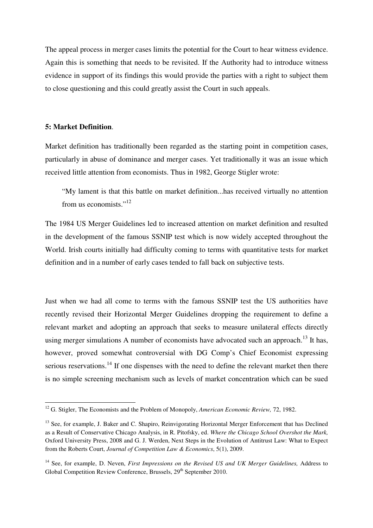The appeal process in merger cases limits the potential for the Court to hear witness evidence. Again this is something that needs to be revisited. If the Authority had to introduce witness evidence in support of its findings this would provide the parties with a right to subject them to close questioning and this could greatly assist the Court in such appeals.

## **5: Market Definition**.

l

Market definition has traditionally been regarded as the starting point in competition cases, particularly in abuse of dominance and merger cases. Yet traditionally it was an issue which received little attention from economists. Thus in 1982, George Stigler wrote:

"My lament is that this battle on market definition...has received virtually no attention from us economists."<sup>12</sup>

The 1984 US Merger Guidelines led to increased attention on market definition and resulted in the development of the famous SSNIP test which is now widely accepted throughout the World. Irish courts initially had difficulty coming to terms with quantitative tests for market definition and in a number of early cases tended to fall back on subjective tests.

Just when we had all come to terms with the famous SSNIP test the US authorities have recently revised their Horizontal Merger Guidelines dropping the requirement to define a relevant market and adopting an approach that seeks to measure unilateral effects directly using merger simulations A number of economists have advocated such an approach.<sup>13</sup> It has, however, proved somewhat controversial with DG Comp's Chief Economist expressing serious reservations.<sup>14</sup> If one dispenses with the need to define the relevant market then there is no simple screening mechanism such as levels of market concentration which can be sued

<sup>12</sup> G. Stigler, The Economists and the Problem of Monopoly, *American Economic Review,* 72, 1982.

<sup>&</sup>lt;sup>13</sup> See, for example, J. Baker and C. Shapiro, Reinvigorating Horizontal Merger Enforcement that has Declined as a Result of Conservative Chicago Analysis, in R. Pitofsky, ed. *Where the Chicago School Overshot the Mark,*  Oxford University Press, 2008 and G. J. Werden, Next Steps in the Evolution of Antitrust Law: What to Expect from the Roberts Court, *Journal of Competition Law & Economics*, 5(1), 2009.

<sup>&</sup>lt;sup>14</sup> See, for example, D. Neven, *First Impressions on the Revised US and UK Merger Guidelines, Address to* Global Competition Review Conference, Brussels, 29<sup>th</sup> September 2010.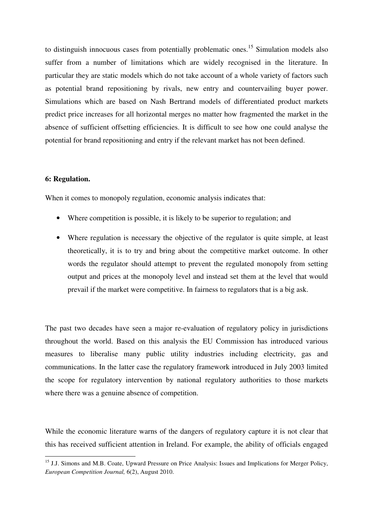to distinguish innocuous cases from potentially problematic ones.<sup>15</sup> Simulation models also suffer from a number of limitations which are widely recognised in the literature. In particular they are static models which do not take account of a whole variety of factors such as potential brand repositioning by rivals, new entry and countervailing buyer power. Simulations which are based on Nash Bertrand models of differentiated product markets predict price increases for all horizontal merges no matter how fragmented the market in the absence of sufficient offsetting efficiencies. It is difficult to see how one could analyse the potential for brand repositioning and entry if the relevant market has not been defined.

# **6: Regulation.**

 $\overline{a}$ 

When it comes to monopoly regulation, economic analysis indicates that:

- Where competition is possible, it is likely to be superior to regulation; and
- Where regulation is necessary the objective of the regulator is quite simple, at least theoretically, it is to try and bring about the competitive market outcome. In other words the regulator should attempt to prevent the regulated monopoly from setting output and prices at the monopoly level and instead set them at the level that would prevail if the market were competitive. In fairness to regulators that is a big ask.

The past two decades have seen a major re-evaluation of regulatory policy in jurisdictions throughout the world. Based on this analysis the EU Commission has introduced various measures to liberalise many public utility industries including electricity, gas and communications. In the latter case the regulatory framework introduced in July 2003 limited the scope for regulatory intervention by national regulatory authorities to those markets where there was a genuine absence of competition.

While the economic literature warns of the dangers of regulatory capture it is not clear that this has received sufficient attention in Ireland. For example, the ability of officials engaged

<sup>&</sup>lt;sup>15</sup> J.J. Simons and M.B. Coate, Upward Pressure on Price Analysis: Issues and Implications for Merger Policy, *European Competition Journal,* 6(2), August 2010.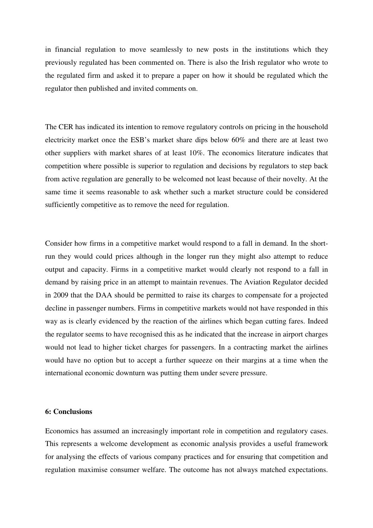in financial regulation to move seamlessly to new posts in the institutions which they previously regulated has been commented on. There is also the Irish regulator who wrote to the regulated firm and asked it to prepare a paper on how it should be regulated which the regulator then published and invited comments on.

The CER has indicated its intention to remove regulatory controls on pricing in the household electricity market once the ESB's market share dips below 60% and there are at least two other suppliers with market shares of at least 10%. The economics literature indicates that competition where possible is superior to regulation and decisions by regulators to step back from active regulation are generally to be welcomed not least because of their novelty. At the same time it seems reasonable to ask whether such a market structure could be considered sufficiently competitive as to remove the need for regulation.

Consider how firms in a competitive market would respond to a fall in demand. In the shortrun they would could prices although in the longer run they might also attempt to reduce output and capacity. Firms in a competitive market would clearly not respond to a fall in demand by raising price in an attempt to maintain revenues. The Aviation Regulator decided in 2009 that the DAA should be permitted to raise its charges to compensate for a projected decline in passenger numbers. Firms in competitive markets would not have responded in this way as is clearly evidenced by the reaction of the airlines which began cutting fares. Indeed the regulator seems to have recognised this as he indicated that the increase in airport charges would not lead to higher ticket charges for passengers. In a contracting market the airlines would have no option but to accept a further squeeze on their margins at a time when the international economic downturn was putting them under severe pressure.

## **6: Conclusions**

Economics has assumed an increasingly important role in competition and regulatory cases. This represents a welcome development as economic analysis provides a useful framework for analysing the effects of various company practices and for ensuring that competition and regulation maximise consumer welfare. The outcome has not always matched expectations.